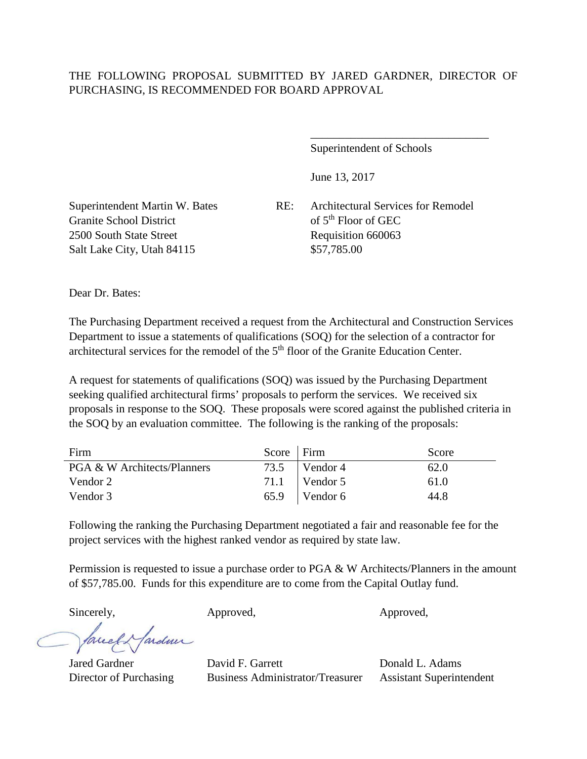## THE FOLLOWING PROPOSAL SUBMITTED BY JARED GARDNER, DIRECTOR OF PURCHASING, IS RECOMMENDED FOR BOARD APPROVAL

Superintendent of Schools

\_\_\_\_\_\_\_\_\_\_\_\_\_\_\_\_\_\_\_\_\_\_\_\_\_\_\_\_\_\_\_

June 13, 2017

Granite School District of 5<sup>th</sup> Floor of GEC 2500 South State Street Requisition 660063 Salt Lake City, Utah 84115 \$57,785.00

Superintendent Martin W. Bates RE: Architectural Services for Remodel

Dear Dr. Bates:

The Purchasing Department received a request from the Architectural and Construction Services Department to issue a statements of qualifications (SOQ) for the selection of a contractor for architectural services for the remodel of the 5<sup>th</sup> floor of the Granite Education Center.

A request for statements of qualifications (SOQ) was issued by the Purchasing Department seeking qualified architectural firms' proposals to perform the services. We received six proposals in response to the SOQ. These proposals were scored against the published criteria in the SOQ by an evaluation committee. The following is the ranking of the proposals:

| Firm                                   | Score   Firm |                 | Score |
|----------------------------------------|--------------|-----------------|-------|
| <b>PGA &amp; W Architects/Planners</b> |              | $73.5$ Vendor 4 | 62.0  |
| Vendor 2                               |              | $71.1$ Vendor 5 | 61.0  |
| Vendor 3                               |              | $65.9$ Vendor 6 | 44.8  |

Following the ranking the Purchasing Department negotiated a fair and reasonable fee for the project services with the highest ranked vendor as required by state law.

Permission is requested to issue a purchase order to PGA & W Architects/Planners in the amount of \$57,785.00. Funds for this expenditure are to come from the Capital Outlay fund.

Sincerely,  $\qquad \qquad \text{Approved}, \qquad \qquad \text{Approved},$ 

facel Hardner

Jared Gardner David F. Garrett Donald L. Adams Director of Purchasing Business Administrator/Treasurer Assistant Superintendent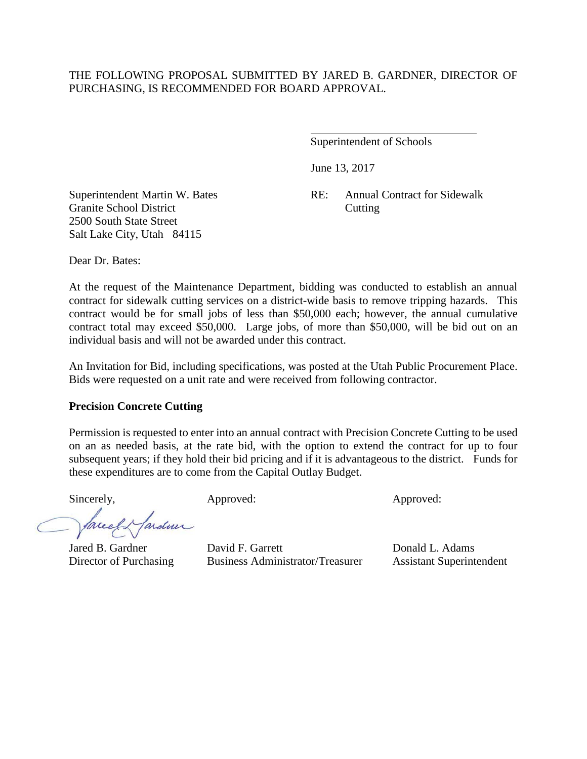#### THE FOLLOWING PROPOSAL SUBMITTED BY JARED B. GARDNER, DIRECTOR OF PURCHASING, IS RECOMMENDED FOR BOARD APPROVAL.

 $\overline{a}$ 

Superintendent of Schools

June 13, 2017

Superintendent Martin W. Bates RE: Annual Contract for Sidewalk

Granite School District Cutting 2500 South State Street Salt Lake City, Utah 84115

Dear Dr. Bates:

At the request of the Maintenance Department, bidding was conducted to establish an annual contract for sidewalk cutting services on a district-wide basis to remove tripping hazards. This contract would be for small jobs of less than \$50,000 each; however, the annual cumulative contract total may exceed \$50,000. Large jobs, of more than \$50,000, will be bid out on an individual basis and will not be awarded under this contract.

An Invitation for Bid, including specifications, was posted at the Utah Public Procurement Place. Bids were requested on a unit rate and were received from following contractor.

#### **Precision Concrete Cutting**

Permission is requested to enter into an annual contract with Precision Concrete Cutting to be used on an as needed basis, at the rate bid, with the option to extend the contract for up to four subsequent years; if they hold their bid pricing and if it is advantageous to the district. Funds for these expenditures are to come from the Capital Outlay Budget.

arden

Sincerely, Approved: Approved: Approved: Approved:

Jared B. Gardner David F. Garrett Donald L. Adams Director of Purchasing Business Administrator/Treasurer Assistant Superintendent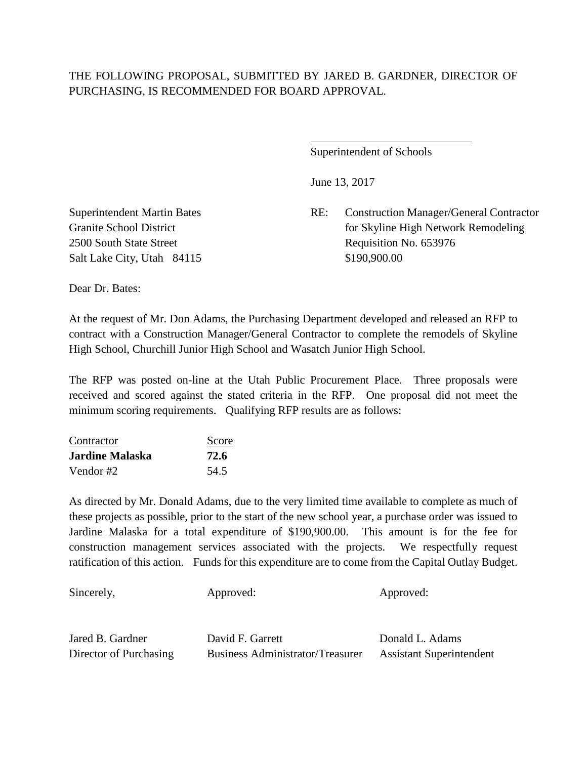# THE FOLLOWING PROPOSAL, SUBMITTED BY JARED B. GARDNER, DIRECTOR OF PURCHASING, IS RECOMMENDED FOR BOARD APPROVAL.

 $\overline{a}$ 

Superintendent of Schools

June 13, 2017

Superintendent Martin Bates RE: Construction Manager/General Contractor Granite School District for Skyline High Network Remodeling 2500 South State Street Requisition No. 653976

Salt Lake City, Utah 84115 \$190,900.00

Dear Dr. Bates:

At the request of Mr. Don Adams, the Purchasing Department developed and released an RFP to contract with a Construction Manager/General Contractor to complete the remodels of Skyline High School, Churchill Junior High School and Wasatch Junior High School.

The RFP was posted on-line at the Utah Public Procurement Place. Three proposals were received and scored against the stated criteria in the RFP. One proposal did not meet the minimum scoring requirements. Qualifying RFP results are as follows:

| Contractor             | Score |
|------------------------|-------|
| <b>Jardine Malaska</b> | 72.6  |
| Vendor #2              | 54.5  |

As directed by Mr. Donald Adams, due to the very limited time available to complete as much of these projects as possible, prior to the start of the new school year, a purchase order was issued to Jardine Malaska for a total expenditure of \$190,900.00. This amount is for the fee for construction management services associated with the projects. We respectfully request ratification of this action. Funds for this expenditure are to come from the Capital Outlay Budget.

| Sincerely,             | Approved:                               | Approved:                       |
|------------------------|-----------------------------------------|---------------------------------|
| Jared B. Gardner       | David F. Garrett                        | Donald L. Adams                 |
| Director of Purchasing | <b>Business Administrator/Treasurer</b> | <b>Assistant Superintendent</b> |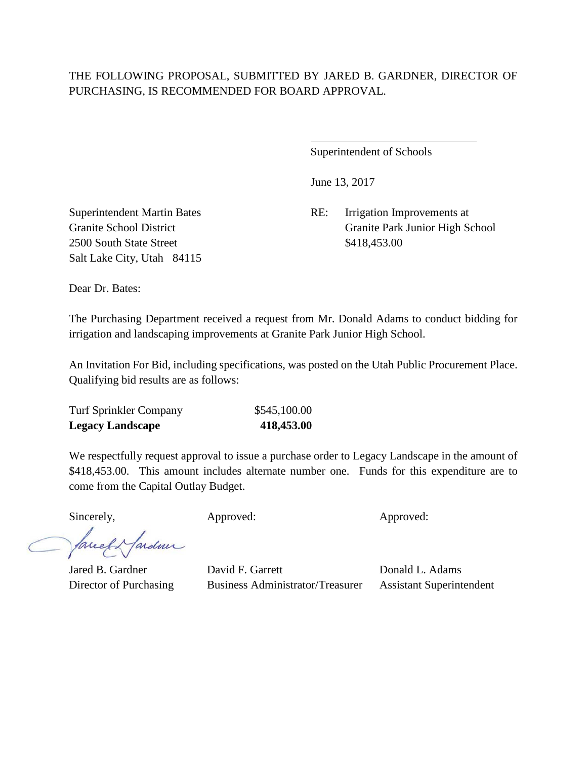# THE FOLLOWING PROPOSAL, SUBMITTED BY JARED B. GARDNER, DIRECTOR OF PURCHASING, IS RECOMMENDED FOR BOARD APPROVAL.

 $\overline{a}$ 

Superintendent of Schools

June 13, 2017

Superintendent Martin Bates RE: Irrigation Improvements at Granite School District Granite Park Junior High School

2500 South State Street \$418,453.00 Salt Lake City, Utah 84115

Dear Dr. Bates:

The Purchasing Department received a request from Mr. Donald Adams to conduct bidding for irrigation and landscaping improvements at Granite Park Junior High School.

An Invitation For Bid, including specifications, was posted on the Utah Public Procurement Place. Qualifying bid results are as follows:

| <b>Turf Sprinkler Company</b> | \$545,100.00 |
|-------------------------------|--------------|
| <b>Legacy Landscape</b>       | 418,453.00   |

We respectfully request approval to issue a purchase order to Legacy Landscape in the amount of \$418,453.00. This amount includes alternate number one. Funds for this expenditure are to come from the Capital Outlay Budget.

Sincerely, Approved: Approved: Approved:

facely farden

Jared B. Gardner David F. Garrett Donald L. Adams Director of Purchasing Business Administrator/Treasurer Assistant Superintendent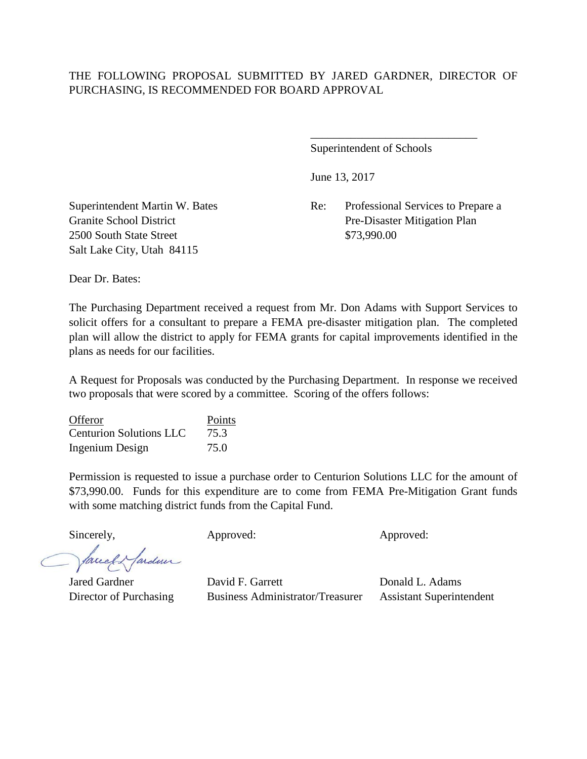### THE FOLLOWING PROPOSAL SUBMITTED BY JARED GARDNER, DIRECTOR OF PURCHASING, IS RECOMMENDED FOR BOARD APPROVAL

Superintendent of Schools

\_\_\_\_\_\_\_\_\_\_\_\_\_\_\_\_\_\_\_\_\_\_\_\_\_\_\_\_\_

June 13, 2017

Superintendent Martin W. Bates Re: Professional Services to Prepare a Granite School District Pre-Disaster Mitigation Plan

2500 South State Street \$73,990.00 Salt Lake City, Utah 84115

Dear Dr. Bates:

The Purchasing Department received a request from Mr. Don Adams with Support Services to solicit offers for a consultant to prepare a FEMA pre-disaster mitigation plan. The completed plan will allow the district to apply for FEMA grants for capital improvements identified in the plans as needs for our facilities.

A Request for Proposals was conducted by the Purchasing Department. In response we received two proposals that were scored by a committee. Scoring of the offers follows:

| Offeror                        | Points |
|--------------------------------|--------|
| <b>Centurion Solutions LLC</b> | 75.3   |
| <b>Ingenium Design</b>         | 75.0   |

Permission is requested to issue a purchase order to Centurion Solutions LLC for the amount of \$73,990.00. Funds for this expenditure are to come from FEMA Pre-Mitigation Grant funds with some matching district funds from the Capital Fund.

Sincerely, Approved: Approved: Approved: Approved:

facel Hardner

Jared Gardner David F. Garrett Donald L. Adams Director of Purchasing Business Administrator/Treasurer Assistant Superintendent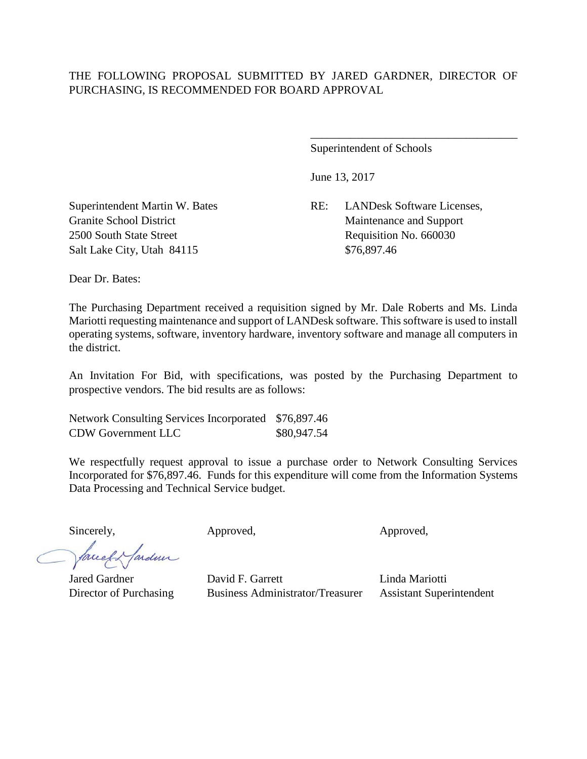### THE FOLLOWING PROPOSAL SUBMITTED BY JARED GARDNER, DIRECTOR OF PURCHASING, IS RECOMMENDED FOR BOARD APPROVAL

Superintendent of Schools

June 13, 2017

Superintendent Martin W. Bates RE: LANDesk Software Licenses, Granite School District Maintenance and Support

\_\_\_\_\_\_\_\_\_\_\_\_\_\_\_\_\_\_\_\_\_\_\_\_\_\_\_\_\_\_\_\_\_\_\_\_

2500 South State Street Requisition No. 660030 Salt Lake City, Utah 84115 \$76,897.46

Dear Dr. Bates:

The Purchasing Department received a requisition signed by Mr. Dale Roberts and Ms. Linda Mariotti requesting maintenance and support of LANDesk software. This software is used to install operating systems, software, inventory hardware, inventory software and manage all computers in the district.

An Invitation For Bid, with specifications, was posted by the Purchasing Department to prospective vendors. The bid results are as follows:

Network Consulting Services Incorporated \$76,897.46 CDW Government LLC \$80,947.54

We respectfully request approval to issue a purchase order to Network Consulting Services Incorporated for \$76,897.46. Funds for this expenditure will come from the Information Systems Data Processing and Technical Service budget.

Sincerely, **Approved,** Approved, **Approved**, **Approved**, **Approved**,

facely fardeur

Jared Gardner David F. Garrett Linda Mariotti Director of Purchasing Business Administrator/Treasurer Assistant Superintendent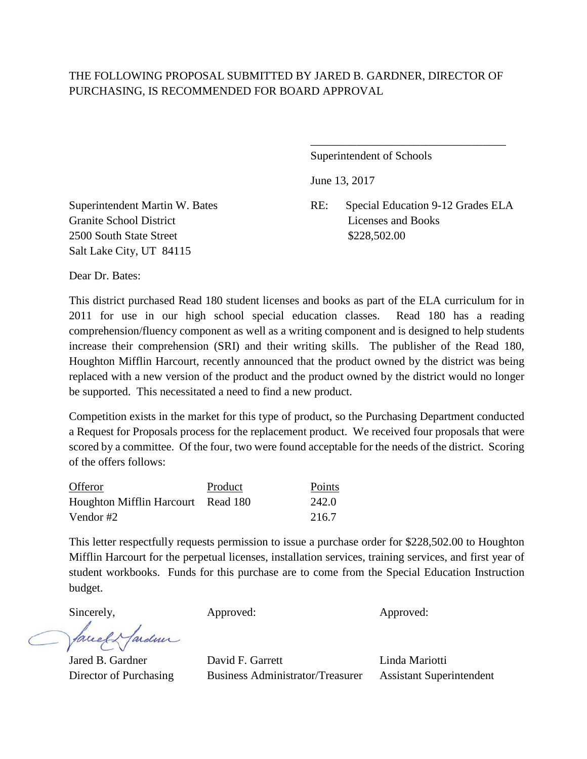# THE FOLLOWING PROPOSAL SUBMITTED BY JARED B. GARDNER, DIRECTOR OF PURCHASING, IS RECOMMENDED FOR BOARD APPROVAL

Superintendent of Schools

June 13, 2017

Granite School District Licenses and Books 2500 South State Street \$228,502.00 Salt Lake City, UT 84115

Superintendent Martin W. Bates RE: Special Education 9-12 Grades ELA

\_\_\_\_\_\_\_\_\_\_\_\_\_\_\_\_\_\_\_\_\_\_\_\_\_\_\_\_\_\_\_\_\_\_

Dear Dr. Bates:

This district purchased Read 180 student licenses and books as part of the ELA curriculum for in 2011 for use in our high school special education classes. Read 180 has a reading comprehension/fluency component as well as a writing component and is designed to help students increase their comprehension (SRI) and their writing skills. The publisher of the Read 180, Houghton Mifflin Harcourt, recently announced that the product owned by the district was being replaced with a new version of the product and the product owned by the district would no longer be supported. This necessitated a need to find a new product.

Competition exists in the market for this type of product, so the Purchasing Department conducted a Request for Proposals process for the replacement product. We received four proposals that were scored by a committee. Of the four, two were found acceptable for the needs of the district. Scoring of the offers follows:

| Offeror                            | Product | Points |
|------------------------------------|---------|--------|
| Houghton Mifflin Harcourt Read 180 |         | 242.0  |
| Vendor #2                          |         | 216.7  |

This letter respectfully requests permission to issue a purchase order for \$228,502.00 to Houghton Mifflin Harcourt for the perpetual licenses, installation services, training services, and first year of student workbooks. Funds for this purchase are to come from the Special Education Instruction budget.

Sincerely, Approved: Approved: Approved: Approved:

facely fardun

Jared B. Gardner David F. Garrett Linda Mariotti Director of Purchasing Business Administrator/Treasurer Assistant Superintendent